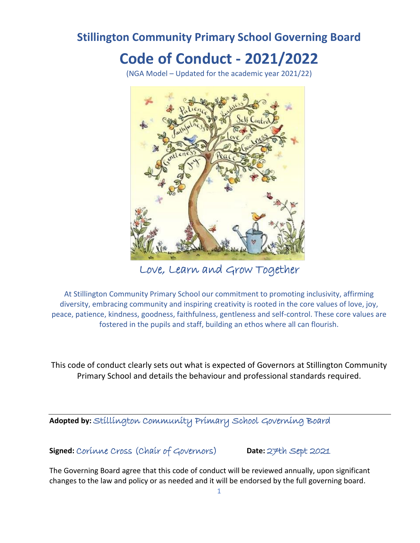## **Stillington Community Primary School Governing Board**

# **Code of Conduct - 2021/2022**

(NGA Model – Updated for the academic year 2021/22)



Love, Learn and Grow Together

At Stillington Community Primary School our commitment to promoting inclusivity, affirming diversity, embracing community and inspiring creativity is rooted in the core values of love, joy, peace, patience, kindness, goodness, faithfulness, gentleness and self-control. These core values are fostered in the pupils and staff, building an ethos where all can flourish.

This code of conduct clearly sets out what is expected of Governors at Stillington Community Primary School and details the behaviour and professional standards required.

**Adopted by:** Stillington Community Primary School Governing Board

**Signed:** Corinne Cross (Chair of Governors) **Date:** 27th Sept 2021

The Governing Board agree that this code of conduct will be reviewed annually, upon significant changes to the law and policy or as needed and it will be endorsed by the full governing board.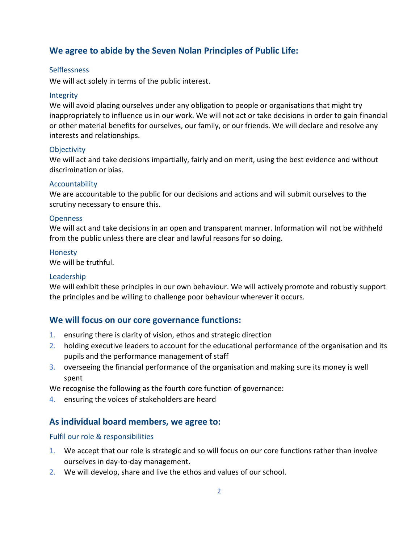## **We agree to abide by the Seven Nolan Principles of Public Life:**

#### **Selflessness**

We will act solely in terms of the public interest.

#### Integrity

We will avoid placing ourselves under any obligation to people or organisations that might try inappropriately to influence us in our work. We will not act or take decisions in order to gain financial or other material benefits for ourselves, our family, or our friends. We will declare and resolve any interests and relationships.

#### **Objectivity**

We will act and take decisions impartially, fairly and on merit, using the best evidence and without discrimination or bias.

#### Accountability

We are accountable to the public for our decisions and actions and will submit ourselves to the scrutiny necessary to ensure this.

#### **Openness**

We will act and take decisions in an open and transparent manner. Information will not be withheld from the public unless there are clear and lawful reasons for so doing.

#### Honesty

We will be truthful.

#### Leadership

We will exhibit these principles in our own behaviour. We will actively promote and robustly support the principles and be willing to challenge poor behaviour wherever it occurs.

## **We will focus on our core governance functions:**

- 1. ensuring there is clarity of vision, ethos and strategic direction
- 2. holding executive leaders to account for the educational performance of the organisation and its pupils and the performance management of staff
- 3. overseeing the financial performance of the organisation and making sure its money is well spent

We recognise the following as the fourth core function of governance:

4. ensuring the voices of stakeholders are heard

## **As individual board members, we agree to:**

#### Fulfil our role & responsibilities

- 1. We accept that our role is strategic and so will focus on our core functions rather than involve ourselves in day-to-day management.
- 2. We will develop, share and live the ethos and values of our school.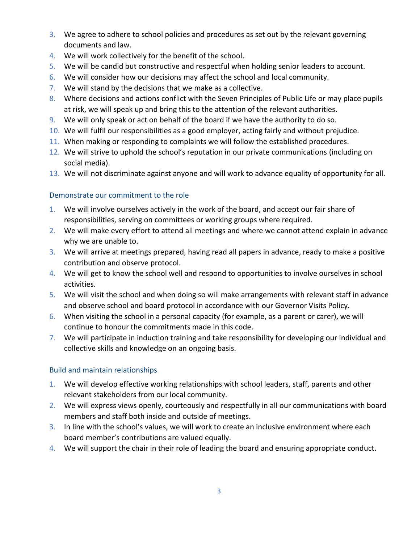- 3. We agree to adhere to school policies and procedures as set out by the relevant governing documents and law.
- 4. We will work collectively for the benefit of the school.
- 5. We will be candid but constructive and respectful when holding senior leaders to account.
- 6. We will consider how our decisions may affect the school and local community.
- 7. We will stand by the decisions that we make as a collective.
- 8. Where decisions and actions conflict with the Seven Principles of Public Life or may place pupils at risk, we will speak up and bring this to the attention of the relevant authorities.
- 9. We will only speak or act on behalf of the board if we have the authority to do so.
- 10. We will fulfil our responsibilities as a good employer, acting fairly and without prejudice.
- 11. When making or responding to complaints we will follow the established procedures.
- 12. We will strive to uphold the school's reputation in our private communications (including on social media).
- 13. We will not discriminate against anyone and will work to advance equality of opportunity for all.

## Demonstrate our commitment to the role

- 1. We will involve ourselves actively in the work of the board, and accept our fair share of responsibilities, serving on committees or working groups where required.
- 2. We will make every effort to attend all meetings and where we cannot attend explain in advance why we are unable to.
- 3. We will arrive at meetings prepared, having read all papers in advance, ready to make a positive contribution and observe protocol.
- 4. We will get to know the school well and respond to opportunities to involve ourselves in school activities.
- 5. We will visit the school and when doing so will make arrangements with relevant staff in advance and observe school and board protocol in accordance with our Governor Visits Policy.
- 6. When visiting the school in a personal capacity (for example, as a parent or carer), we will continue to honour the commitments made in this code.
- 7. We will participate in induction training and take responsibility for developing our individual and collective skills and knowledge on an ongoing basis.

## Build and maintain relationships

- 1. We will develop effective working relationships with school leaders, staff, parents and other relevant stakeholders from our local community.
- 2. We will express views openly, courteously and respectfully in all our communications with board members and staff both inside and outside of meetings.
- 3. In line with the school's values, we will work to create an inclusive environment where each board member's contributions are valued equally.
- 4. We will support the chair in their role of leading the board and ensuring appropriate conduct.